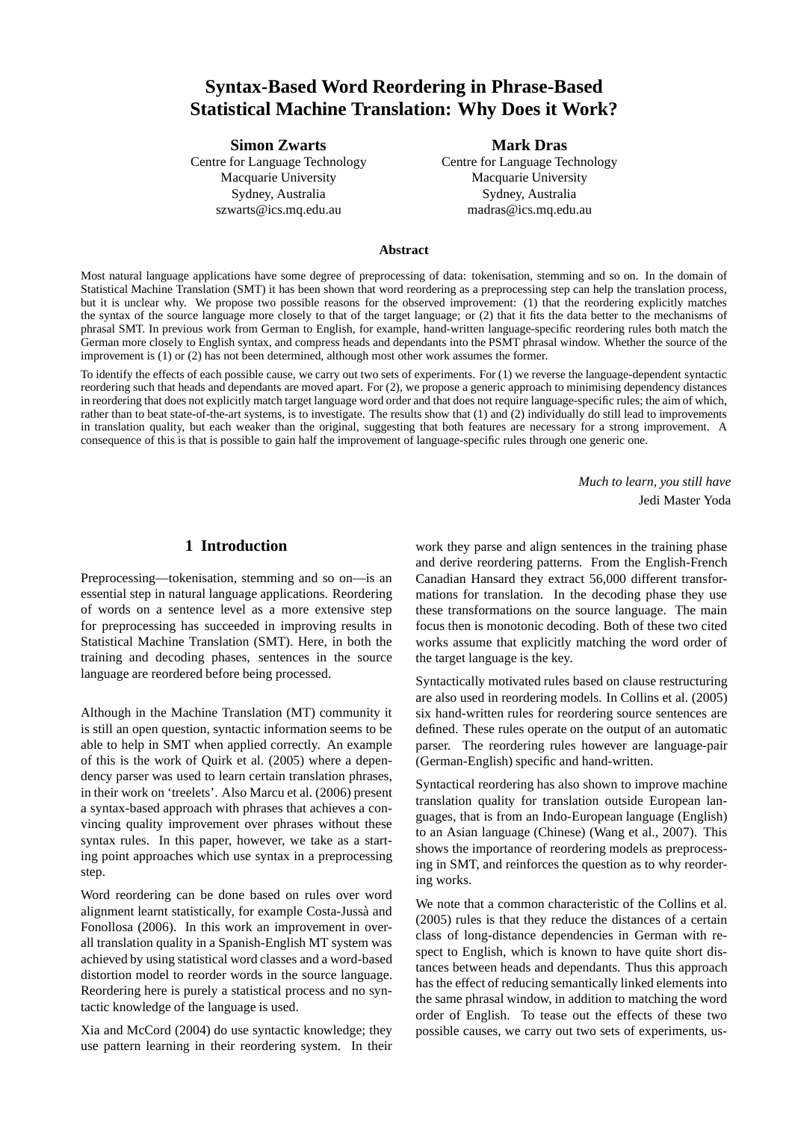# **Syntax-Based Word Reordering in Phrase-Based Statistical Machine Translation: Why Does it Work?**

### **Simon Zwarts** Mark Dras

Macquarie University **Macquarie University** Macquarie University Sydney, Australia Sydney, Australia szwarts@ics.mq.edu.au madras@ics.mq.edu.au

Centre for Language Technology Centre for Language Technology

### **Abstract**

Most natural language applications have some degree of preprocessing of data: tokenisation, stemming and so on. In the domain of Statistical Machine Translation (SMT) it has been shown that word reordering as a preprocessing step can help the translation process, but it is unclear why. We propose two possible reasons for the observed improvement: (1) that the reordering explicitly matches the syntax of the source language more closely to that of the target language; or (2) that it fits the data better to the mechanisms of phrasal SMT. In previous work from German to English, for example, hand-written language-specific reordering rules both match the German more closely to English syntax, and compress heads and dependants into the PSMT phrasal window. Whether the source of the improvement is (1) or (2) has not been determined, although most other work assumes the former.

To identify the effects of each possible cause, we carry out two sets of experiments. For (1) we reverse the language-dependent syntactic reordering such that heads and dependants are moved apart. For (2), we propose a generic approach to minimising dependency distances in reordering that does not explicitly match target language word order and that does not require language-specific rules; the aim of which, rather than to beat state-of-the-art systems, is to investigate. The results show that (1) and (2) individually do still lead to improvements in translation quality, but each weaker than the original, suggesting that both features are necessary for a strong improvement. A consequence of this is that is possible to gain half the improvement of language-specific rules through one generic one.

> *Much to learn, you still have* Jedi Master Yoda

# **1 Introduction**

Preprocessing—tokenisation, stemming and so on—is an essential step in natural language applications. Reordering of words on a sentence level as a more extensive step for preprocessing has succeeded in improving results in Statistical Machine Translation (SMT). Here, in both the training and decoding phases, sentences in the source language are reordered before being processed.

Although in the Machine Translation (MT) community it is still an open question, syntactic information seems to be able to help in SMT when applied correctly. An example of this is the work of Quirk et al. (2005) where a dependency parser was used to learn certain translation phrases, in their work on 'treelets'. Also Marcu et al. (2006) present a syntax-based approach with phrases that achieves a convincing quality improvement over phrases without these syntax rules. In this paper, however, we take as a starting point approaches which use syntax in a preprocessing step.

Word reordering can be done based on rules over word alignment learnt statistically, for example Costa-Jussà and Fonollosa (2006). In this work an improvement in overall translation quality in a Spanish-English MT system was achieved by using statistical word classes and a word-based distortion model to reorder words in the source language. Reordering here is purely a statistical process and no syntactic knowledge of the language is used.

Xia and McCord (2004) do use syntactic knowledge; they use pattern learning in their reordering system. In their work they parse and align sentences in the training phase and derive reordering patterns. From the English-French Canadian Hansard they extract 56,000 different transformations for translation. In the decoding phase they use these transformations on the source language. The main focus then is monotonic decoding. Both of these two cited works assume that explicitly matching the word order of the target language is the key.

Syntactically motivated rules based on clause restructuring are also used in reordering models. In Collins et al. (2005) six hand-written rules for reordering source sentences are defined. These rules operate on the output of an automatic parser. The reordering rules however are language-pair (German-English) specific and hand-written.

Syntactical reordering has also shown to improve machine translation quality for translation outside European languages, that is from an Indo-European language (English) to an Asian language (Chinese) (Wang et al., 2007). This shows the importance of reordering models as preprocessing in SMT, and reinforces the question as to why reordering works.

We note that a common characteristic of the Collins et al. (2005) rules is that they reduce the distances of a certain class of long-distance dependencies in German with respect to English, which is known to have quite short distances between heads and dependants. Thus this approach has the effect of reducing semantically linked elements into the same phrasal window, in addition to matching the word order of English. To tease out the effects of these two possible causes, we carry out two sets of experiments, us-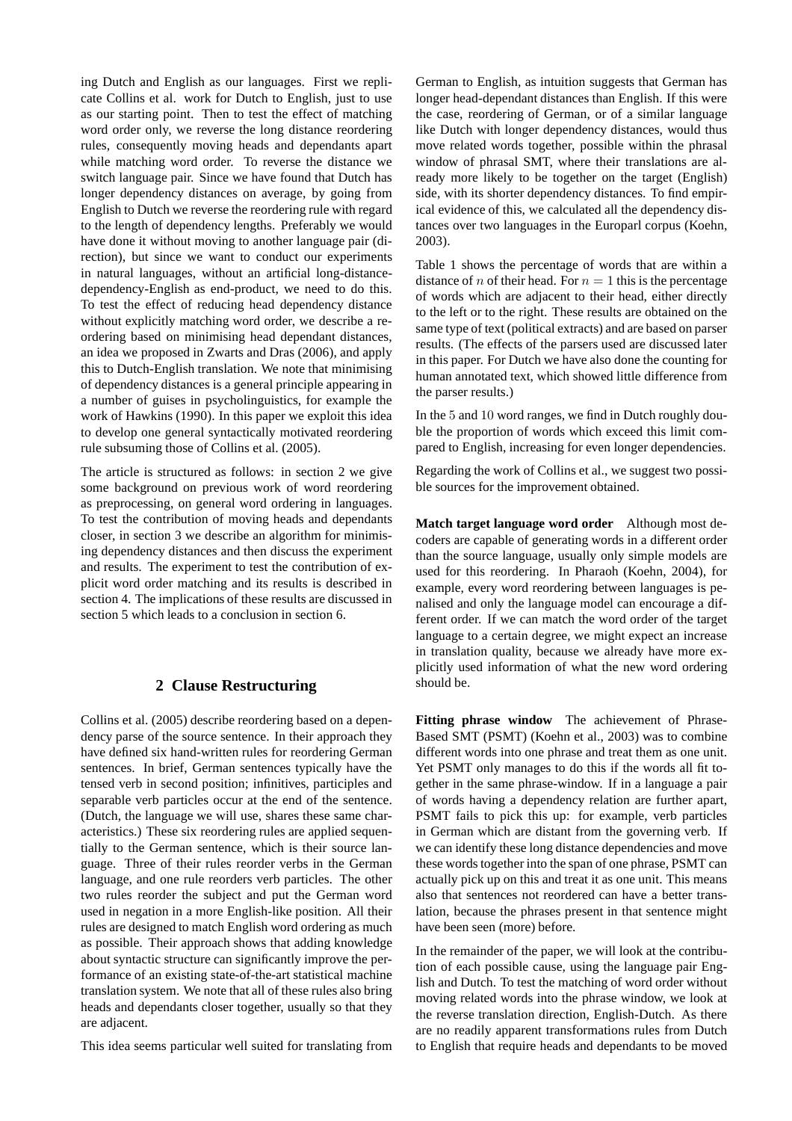ing Dutch and English as our languages. First we replicate Collins et al. work for Dutch to English, just to use as our starting point. Then to test the effect of matching word order only, we reverse the long distance reordering rules, consequently moving heads and dependants apart while matching word order. To reverse the distance we switch language pair. Since we have found that Dutch has longer dependency distances on average, by going from English to Dutch we reverse the reordering rule with regard to the length of dependency lengths. Preferably we would have done it without moving to another language pair (direction), but since we want to conduct our experiments in natural languages, without an artificial long-distancedependency-English as end-product, we need to do this. To test the effect of reducing head dependency distance without explicitly matching word order, we describe a reordering based on minimising head dependant distances, an idea we proposed in Zwarts and Dras (2006), and apply this to Dutch-English translation. We note that minimising of dependency distances is a general principle appearing in a number of guises in psycholinguistics, for example the work of Hawkins (1990). In this paper we exploit this idea to develop one general syntactically motivated reordering rule subsuming those of Collins et al. (2005).

The article is structured as follows: in section 2 we give some background on previous work of word reordering as preprocessing, on general word ordering in languages. To test the contribution of moving heads and dependants closer, in section 3 we describe an algorithm for minimising dependency distances and then discuss the experiment and results. The experiment to test the contribution of explicit word order matching and its results is described in section 4. The implications of these results are discussed in section 5 which leads to a conclusion in section 6.

# **2 Clause Restructuring**

Collins et al. (2005) describe reordering based on a dependency parse of the source sentence. In their approach they have defined six hand-written rules for reordering German sentences. In brief, German sentences typically have the tensed verb in second position; infinitives, participles and separable verb particles occur at the end of the sentence. (Dutch, the language we will use, shares these same characteristics.) These six reordering rules are applied sequentially to the German sentence, which is their source language. Three of their rules reorder verbs in the German language, and one rule reorders verb particles. The other two rules reorder the subject and put the German word used in negation in a more English-like position. All their rules are designed to match English word ordering as much as possible. Their approach shows that adding knowledge about syntactic structure can significantly improve the performance of an existing state-of-the-art statistical machine translation system. We note that all of these rules also bring heads and dependants closer together, usually so that they are adjacent.

This idea seems particular well suited for translating from

German to English, as intuition suggests that German has longer head-dependant distances than English. If this were the case, reordering of German, or of a similar language like Dutch with longer dependency distances, would thus move related words together, possible within the phrasal window of phrasal SMT, where their translations are already more likely to be together on the target (English) side, with its shorter dependency distances. To find empirical evidence of this, we calculated all the dependency distances over two languages in the Europarl corpus (Koehn, 2003).

Table 1 shows the percentage of words that are within a distance of n of their head. For  $n = 1$  this is the percentage of words which are adjacent to their head, either directly to the left or to the right. These results are obtained on the same type of text (political extracts) and are based on parser results. (The effects of the parsers used are discussed later in this paper. For Dutch we have also done the counting for human annotated text, which showed little difference from the parser results.)

In the 5 and 10 word ranges, we find in Dutch roughly double the proportion of words which exceed this limit compared to English, increasing for even longer dependencies.

Regarding the work of Collins et al., we suggest two possible sources for the improvement obtained.

**Match target language word order** Although most decoders are capable of generating words in a different order than the source language, usually only simple models are used for this reordering. In Pharaoh (Koehn, 2004), for example, every word reordering between languages is penalised and only the language model can encourage a different order. If we can match the word order of the target language to a certain degree, we might expect an increase in translation quality, because we already have more explicitly used information of what the new word ordering should be.

**Fitting phrase window** The achievement of Phrase-Based SMT (PSMT) (Koehn et al., 2003) was to combine different words into one phrase and treat them as one unit. Yet PSMT only manages to do this if the words all fit together in the same phrase-window. If in a language a pair of words having a dependency relation are further apart, PSMT fails to pick this up: for example, verb particles in German which are distant from the governing verb. If we can identify these long distance dependencies and move these words together into the span of one phrase, PSMT can actually pick up on this and treat it as one unit. This means also that sentences not reordered can have a better translation, because the phrases present in that sentence might have been seen (more) before.

In the remainder of the paper, we will look at the contribution of each possible cause, using the language pair English and Dutch. To test the matching of word order without moving related words into the phrase window, we look at the reverse translation direction, English-Dutch. As there are no readily apparent transformations rules from Dutch to English that require heads and dependants to be moved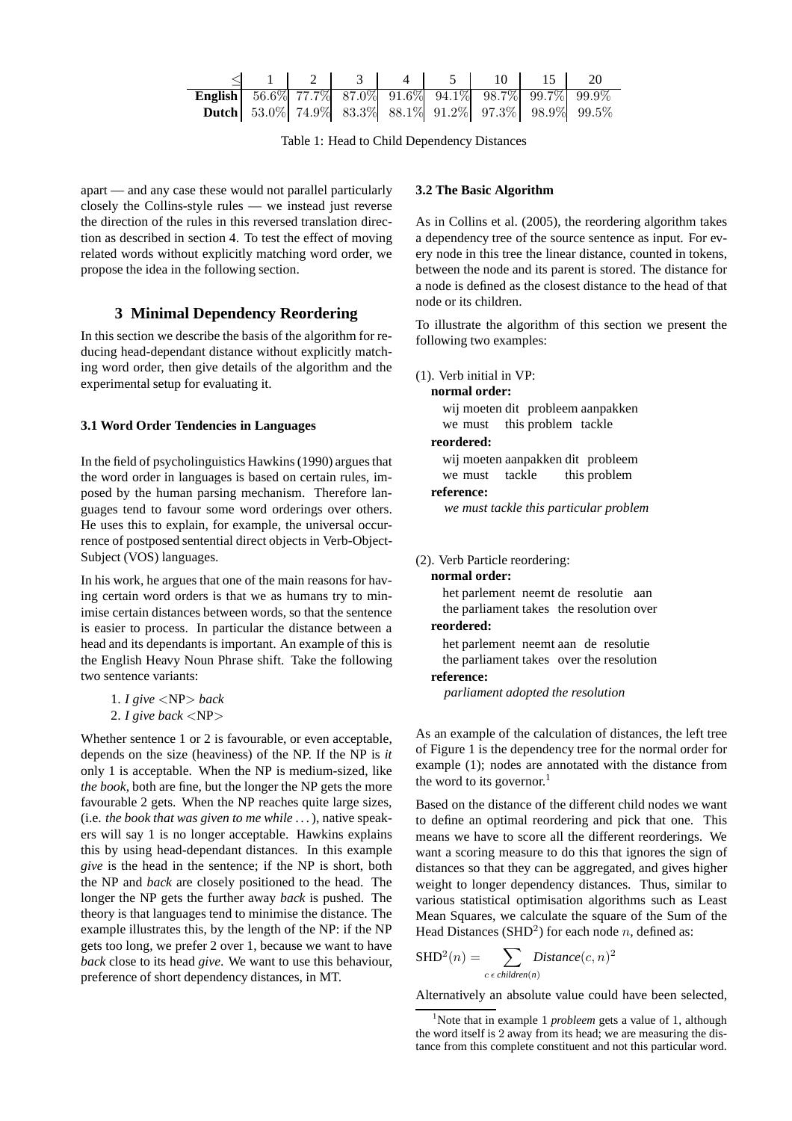|                                                                |  |  | $\leq$ 1   2   3   4   5   10   15   20                      |  |
|----------------------------------------------------------------|--|--|--------------------------------------------------------------|--|
| <b>English</b> 56.6% 77.7% 87.0% 91.6% 94.1% 98.7% 99.7% 99.9% |  |  |                                                              |  |
|                                                                |  |  | <b>Dutch</b> 53.0% 74.9% 83.3% 88.1% 91.2% 97.3% 98.9% 99.5% |  |

Table 1: Head to Child Dependency Distances

apart — and any case these would not parallel particularly closely the Collins-style rules — we instead just reverse the direction of the rules in this reversed translation direction as described in section 4. To test the effect of moving related words without explicitly matching word order, we propose the idea in the following section.

# **3 Minimal Dependency Reordering**

In this section we describe the basis of the algorithm for reducing head-dependant distance without explicitly matching word order, then give details of the algorithm and the experimental setup for evaluating it.

# **3.1 Word Order Tendencies in Languages**

In the field of psycholinguistics Hawkins (1990) argues that the word order in languages is based on certain rules, imposed by the human parsing mechanism. Therefore languages tend to favour some word orderings over others. He uses this to explain, for example, the universal occurrence of postposed sentential direct objects in Verb-Object-Subject (VOS) languages.

In his work, he argues that one of the main reasons for having certain word orders is that we as humans try to minimise certain distances between words, so that the sentence is easier to process. In particular the distance between a head and its dependants is important. An example of this is the English Heavy Noun Phrase shift. Take the following two sentence variants:

```
1. I give <NP> back
2. I give back <NP>
```
Whether sentence 1 or 2 is favourable, or even acceptable, depends on the size (heaviness) of the NP. If the NP is *it* only 1 is acceptable. When the NP is medium-sized, like *the book*, both are fine, but the longer the NP gets the more favourable 2 gets. When the NP reaches quite large sizes, (i.e. *the book that was given to me while . . .*), native speakers will say 1 is no longer acceptable. Hawkins explains this by using head-dependant distances. In this example *give* is the head in the sentence; if the NP is short, both the NP and *back* are closely positioned to the head. The longer the NP gets the further away *back* is pushed. The theory is that languages tend to minimise the distance. The example illustrates this, by the length of the NP: if the NP gets too long, we prefer 2 over 1, because we want to have *back* close to its head *give*. We want to use this behaviour, preference of short dependency distances, in MT.

# **3.2 The Basic Algorithm**

As in Collins et al. (2005), the reordering algorithm takes a dependency tree of the source sentence as input. For every node in this tree the linear distance, counted in tokens, between the node and its parent is stored. The distance for a node is defined as the closest distance to the head of that node or its children.

To illustrate the algorithm of this section we present the following two examples:

(1). Verb initial in VP:

**normal order:** wij moeten dit probleem aanpakken we must this problem tackle **reordered:** wij moeten aanpakken dit probleem we must tackle this problem **reference:**

*we must tackle this particular problem*

### (2). Verb Particle reordering:

**normal order:**

het parlement neemt de resolutie aan the parliament takes the resolution over

# **reordered:**

het parlement neemt aan de resolutie the parliament takes over the resolution **reference:**

*parliament adopted the resolution*

As an example of the calculation of distances, the left tree of Figure 1 is the dependency tree for the normal order for example (1); nodes are annotated with the distance from the word to its governor.<sup>1</sup>

Based on the distance of the different child nodes we want to define an optimal reordering and pick that one. This means we have to score all the different reorderings. We want a scoring measure to do this that ignores the sign of distances so that they can be aggregated, and gives higher weight to longer dependency distances. Thus, similar to various statistical optimisation algorithms such as Least Mean Squares, we calculate the square of the Sum of the Head Distances (SHD<sup>2</sup>) for each node *n*, defined as:

$$
SHD2(n) = \sum_{c \in children(n)} Distance(c, n)2
$$

Alternatively an absolute value could have been selected,

<sup>&</sup>lt;sup>1</sup>Note that in example 1 *probleem* gets a value of 1, although the word itself is 2 away from its head; we are measuring the distance from this complete constituent and not this particular word.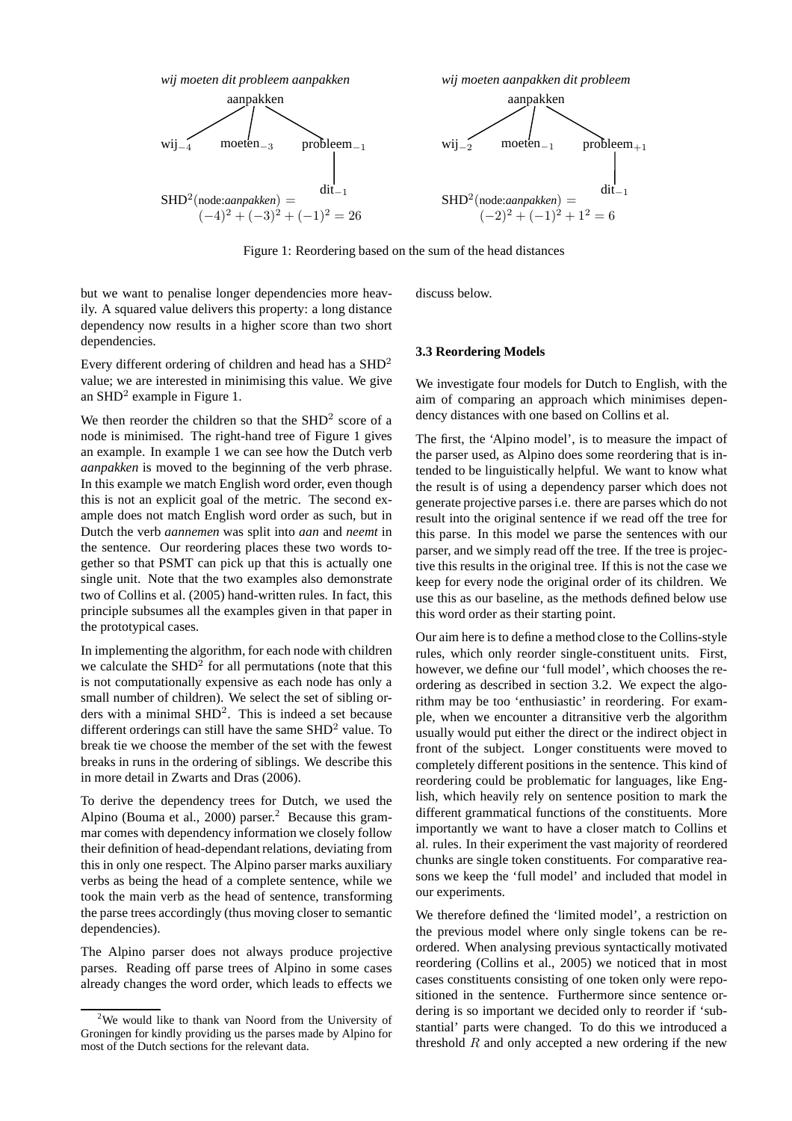

Figure 1: Reordering based on the sum of the head distances

but we want to penalise longer dependencies more heavily. A squared value delivers this property: a long distance dependency now results in a higher score than two short dependencies.

Every different ordering of children and head has a SHD<sup>2</sup> value; we are interested in minimising this value. We give an SHD<sup>2</sup> example in Figure 1.

We then reorder the children so that the  $SHD<sup>2</sup>$  score of a node is minimised. The right-hand tree of Figure 1 gives an example. In example 1 we can see how the Dutch verb *aanpakken* is moved to the beginning of the verb phrase. In this example we match English word order, even though this is not an explicit goal of the metric. The second example does not match English word order as such, but in Dutch the verb *aannemen* was split into *aan* and *neemt* in the sentence. Our reordering places these two words together so that PSMT can pick up that this is actually one single unit. Note that the two examples also demonstrate two of Collins et al. (2005) hand-written rules. In fact, this principle subsumes all the examples given in that paper in the prototypical cases.

In implementing the algorithm, for each node with children we calculate the  $SHD<sup>2</sup>$  for all permutations (note that this is not computationally expensive as each node has only a small number of children). We select the set of sibling orders with a minimal SHD<sup>2</sup>. This is indeed a set because different orderings can still have the same SHD<sup>2</sup> value. To break tie we choose the member of the set with the fewest breaks in runs in the ordering of siblings. We describe this in more detail in Zwarts and Dras (2006).

To derive the dependency trees for Dutch, we used the Alpino (Bouma et al., 2000) parser.<sup>2</sup> Because this grammar comes with dependency information we closely follow their definition of head-dependant relations, deviating from this in only one respect. The Alpino parser marks auxiliary verbs as being the head of a complete sentence, while we took the main verb as the head of sentence, transforming the parse trees accordingly (thus moving closer to semantic dependencies).

The Alpino parser does not always produce projective parses. Reading off parse trees of Alpino in some cases already changes the word order, which leads to effects we discuss below.

### **3.3 Reordering Models**

We investigate four models for Dutch to English, with the aim of comparing an approach which minimises dependency distances with one based on Collins et al.

The first, the 'Alpino model', is to measure the impact of the parser used, as Alpino does some reordering that is intended to be linguistically helpful. We want to know what the result is of using a dependency parser which does not generate projective parses i.e. there are parses which do not result into the original sentence if we read off the tree for this parse. In this model we parse the sentences with our parser, and we simply read off the tree. If the tree is projective this results in the original tree. If this is not the case we keep for every node the original order of its children. We use this as our baseline, as the methods defined below use this word order as their starting point.

Our aim here is to define a method close to the Collins-style rules, which only reorder single-constituent units. First, however, we define our 'full model', which chooses the reordering as described in section 3.2. We expect the algorithm may be too 'enthusiastic' in reordering. For example, when we encounter a ditransitive verb the algorithm usually would put either the direct or the indirect object in front of the subject. Longer constituents were moved to completely different positions in the sentence. This kind of reordering could be problematic for languages, like English, which heavily rely on sentence position to mark the different grammatical functions of the constituents. More importantly we want to have a closer match to Collins et al. rules. In their experiment the vast majority of reordered chunks are single token constituents. For comparative reasons we keep the 'full model' and included that model in our experiments.

We therefore defined the 'limited model', a restriction on the previous model where only single tokens can be reordered. When analysing previous syntactically motivated reordering (Collins et al., 2005) we noticed that in most cases constituents consisting of one token only were repositioned in the sentence. Furthermore since sentence ordering is so important we decided only to reorder if 'substantial' parts were changed. To do this we introduced a threshold  $R$  and only accepted a new ordering if the new

<sup>2</sup>We would like to thank van Noord from the University of Groningen for kindly providing us the parses made by Alpino for most of the Dutch sections for the relevant data.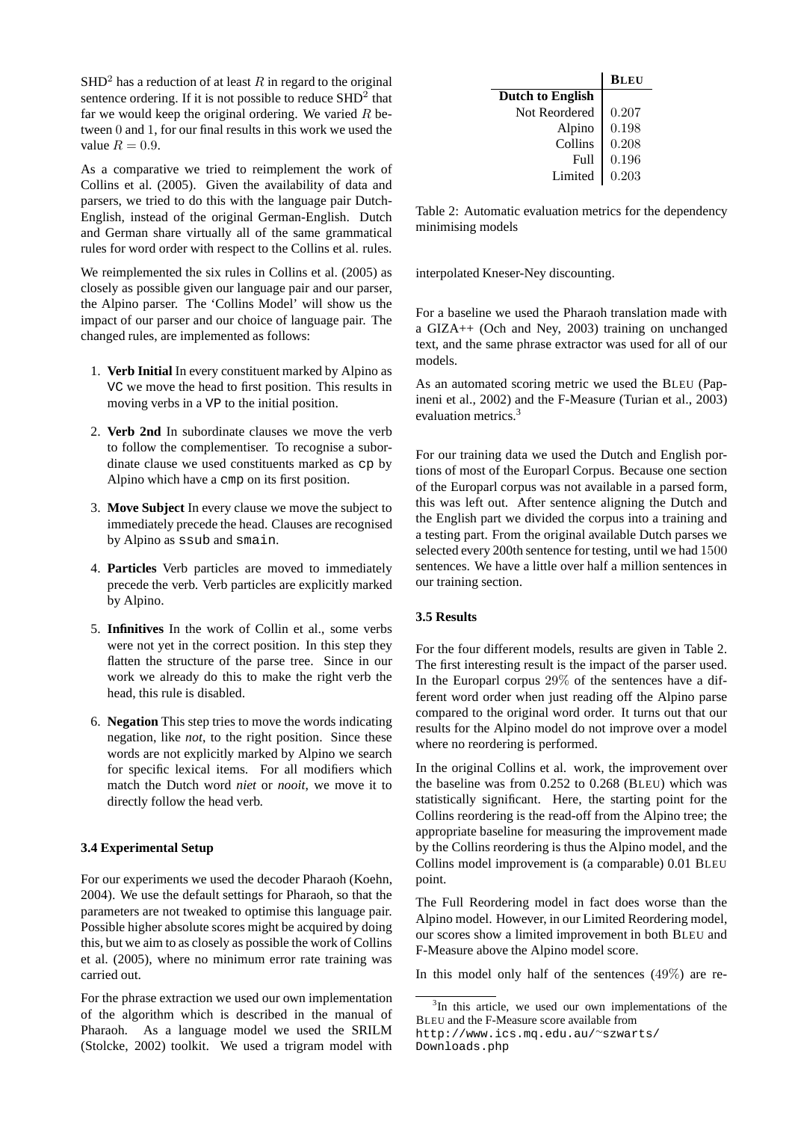$SHD<sup>2</sup>$  has a reduction of at least R in regard to the original sentence ordering. If it is not possible to reduce  $SHD<sup>2</sup>$  that far we would keep the original ordering. We varied  $R$  between 0 and 1, for our final results in this work we used the value  $R = 0.9$ .

As a comparative we tried to reimplement the work of Collins et al. (2005). Given the availability of data and parsers, we tried to do this with the language pair Dutch-English, instead of the original German-English. Dutch and German share virtually all of the same grammatical rules for word order with respect to the Collins et al. rules.

We reimplemented the six rules in Collins et al. (2005) as closely as possible given our language pair and our parser, the Alpino parser. The 'Collins Model' will show us the impact of our parser and our choice of language pair. The changed rules, are implemented as follows:

- 1. **Verb Initial** In every constituent marked by Alpino as VC we move the head to first position. This results in moving verbs in a VP to the initial position.
- 2. **Verb 2nd** In subordinate clauses we move the verb to follow the complementiser. To recognise a subordinate clause we used constituents marked as cp by Alpino which have a cmp on its first position.
- 3. **Move Subject** In every clause we move the subject to immediately precede the head. Clauses are recognised by Alpino as ssub and smain.
- 4. **Particles** Verb particles are moved to immediately precede the verb. Verb particles are explicitly marked by Alpino.
- 5. **Infinitives** In the work of Collin et al., some verbs were not yet in the correct position. In this step they flatten the structure of the parse tree. Since in our work we already do this to make the right verb the head, this rule is disabled.
- 6. **Negation** This step tries to move the words indicating negation, like *not*, to the right position. Since these words are not explicitly marked by Alpino we search for specific lexical items. For all modifiers which match the Dutch word *niet* or *nooit*, we move it to directly follow the head verb.

# **3.4 Experimental Setup**

For our experiments we used the decoder Pharaoh (Koehn, 2004). We use the default settings for Pharaoh, so that the parameters are not tweaked to optimise this language pair. Possible higher absolute scores might be acquired by doing this, but we aim to as closely as possible the work of Collins et al. (2005), where no minimum error rate training was carried out.

For the phrase extraction we used our own implementation of the algorithm which is described in the manual of Pharaoh. As a language model we used the SRILM (Stolcke, 2002) toolkit. We used a trigram model with

|                         | <b>BLEU</b> |
|-------------------------|-------------|
| <b>Dutch to English</b> |             |
| Not Reordered           | 0.207       |
| Alpino                  | 0.198       |
| Collins                 | 0.208       |
| F <sub>II</sub> 11      | 0.196       |
| Limited                 | 0.203       |

Table 2: Automatic evaluation metrics for the dependency minimising models

interpolated Kneser-Ney discounting.

For a baseline we used the Pharaoh translation made with a GIZA++ (Och and Ney, 2003) training on unchanged text, and the same phrase extractor was used for all of our models.

As an automated scoring metric we used the BLEU (Papineni et al., 2002) and the F-Measure (Turian et al., 2003) evaluation metrics.<sup>3</sup>

For our training data we used the Dutch and English portions of most of the Europarl Corpus. Because one section of the Europarl corpus was not available in a parsed form, this was left out. After sentence aligning the Dutch and the English part we divided the corpus into a training and a testing part. From the original available Dutch parses we selected every 200th sentence for testing, until we had 1500 sentences. We have a little over half a million sentences in our training section.

### **3.5 Results**

For the four different models, results are given in Table 2. The first interesting result is the impact of the parser used. In the Europarl corpus 29% of the sentences have a different word order when just reading off the Alpino parse compared to the original word order. It turns out that our results for the Alpino model do not improve over a model where no reordering is performed.

In the original Collins et al. work, the improvement over the baseline was from 0.252 to 0.268 (BLEU) which was statistically significant. Here, the starting point for the Collins reordering is the read-off from the Alpino tree; the appropriate baseline for measuring the improvement made by the Collins reordering is thus the Alpino model, and the Collins model improvement is (a comparable) 0.01 BLEU point.

The Full Reordering model in fact does worse than the Alpino model. However, in our Limited Reordering model, our scores show a limited improvement in both BLEU and F-Measure above the Alpino model score.

In this model only half of the sentences  $(49\%)$  are re-

<sup>&</sup>lt;sup>3</sup>In this article, we used our own implementations of the BLEU and the F-Measure score available from

http://www.ics.mq.edu.au/<sup>∼</sup>szwarts/ Downloads.php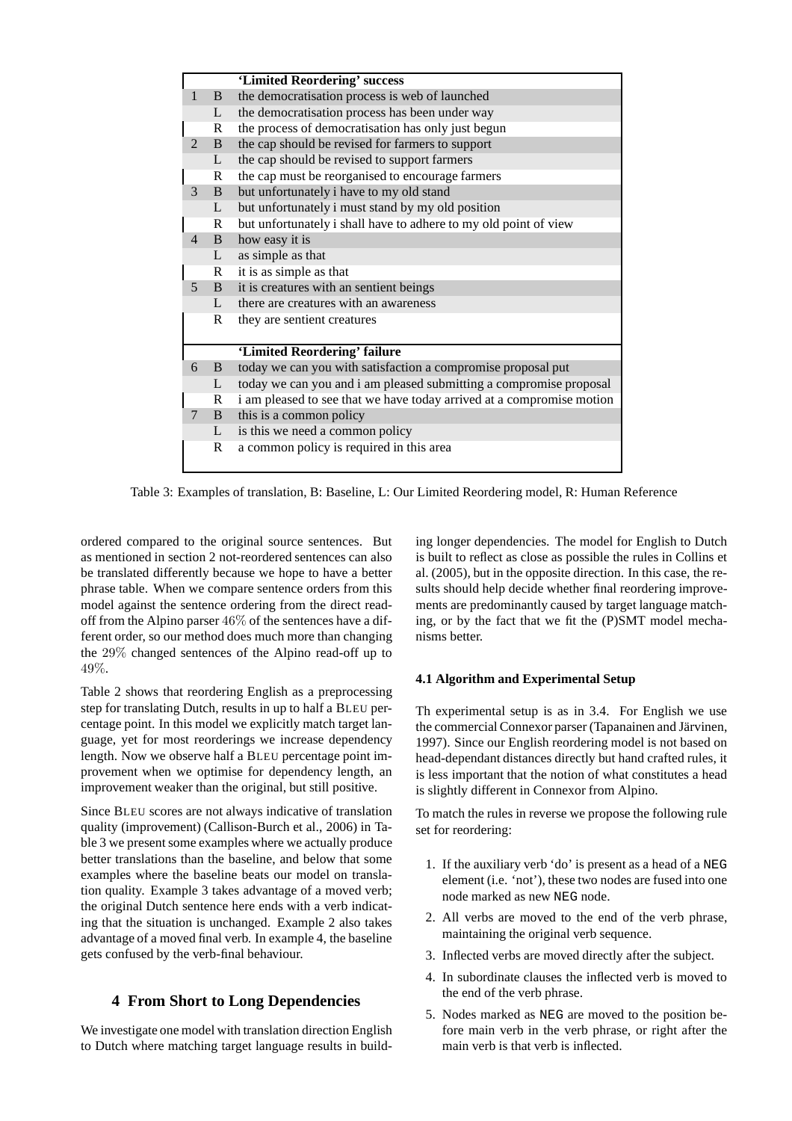|                |              | 'Limited Reordering' success                                          |  |  |  |
|----------------|--------------|-----------------------------------------------------------------------|--|--|--|
| $\mathbf{1}$   | B            | the democratisation process is web of launched                        |  |  |  |
|                | L            | the democratisation process has been under way                        |  |  |  |
|                | R            | the process of democratisation has only just begun                    |  |  |  |
| $\mathcal{L}$  | <sub>B</sub> | the cap should be revised for farmers to support                      |  |  |  |
|                | L            | the cap should be revised to support farmers                          |  |  |  |
|                | R            | the cap must be reorganised to encourage farmers                      |  |  |  |
| 3              | B.           | but unfortunately i have to my old stand                              |  |  |  |
|                | L            | but unfortunately i must stand by my old position                     |  |  |  |
|                | R            | but unfortunately i shall have to adhere to my old point of view      |  |  |  |
| $\overline{4}$ | B.           | how easy it is                                                        |  |  |  |
|                | L            | as simple as that                                                     |  |  |  |
|                | R            | it is as simple as that                                               |  |  |  |
| 5 <sup>1</sup> | B.           | it is creatures with an sentient beings                               |  |  |  |
|                | $\mathbf{L}$ | there are creatures with an awareness                                 |  |  |  |
|                | R            | they are sentient creatures                                           |  |  |  |
|                |              |                                                                       |  |  |  |
|                |              | 'Limited Reordering' failure                                          |  |  |  |
| 6              | B.           | today we can you with satisfaction a compromise proposal put          |  |  |  |
|                | L            | today we can you and i am pleased submitting a compromise proposal    |  |  |  |
|                | R            | i am pleased to see that we have today arrived at a compromise motion |  |  |  |
| $\tau$         | B.           | this is a common policy                                               |  |  |  |
|                | L            | is this we need a common policy                                       |  |  |  |
|                | R            | a common policy is required in this area                              |  |  |  |
|                |              |                                                                       |  |  |  |

Table 3: Examples of translation, B: Baseline, L: Our Limited Reordering model, R: Human Reference

ordered compared to the original source sentences. But as mentioned in section 2 not-reordered sentences can also be translated differently because we hope to have a better phrase table. When we compare sentence orders from this model against the sentence ordering from the direct readoff from the Alpino parser  $46\%$  of the sentences have a different order, so our method does much more than changing the 29% changed sentences of the Alpino read-off up to 49%.

Table 2 shows that reordering English as a preprocessing step for translating Dutch, results in up to half a BLEU percentage point. In this model we explicitly match target language, yet for most reorderings we increase dependency length. Now we observe half a BLEU percentage point improvement when we optimise for dependency length, an improvement weaker than the original, but still positive.

Since BLEU scores are not always indicative of translation quality (improvement) (Callison-Burch et al., 2006) in Table 3 we present some examples where we actually produce better translations than the baseline, and below that some examples where the baseline beats our model on translation quality. Example 3 takes advantage of a moved verb; the original Dutch sentence here ends with a verb indicating that the situation is unchanged. Example 2 also takes advantage of a moved final verb. In example 4, the baseline gets confused by the verb-final behaviour.

# **4 From Short to Long Dependencies**

We investigate one model with translation direction English to Dutch where matching target language results in building longer dependencies. The model for English to Dutch is built to reflect as close as possible the rules in Collins et al. (2005), but in the opposite direction. In this case, the results should help decide whether final reordering improvements are predominantly caused by target language matching, or by the fact that we fit the (P)SMT model mechanisms better.

# **4.1 Algorithm and Experimental Setup**

Th experimental setup is as in 3.4. For English we use the commercial Connexor parser (Tapanainen and Järvinen, 1997). Since our English reordering model is not based on head-dependant distances directly but hand crafted rules, it is less important that the notion of what constitutes a head is slightly different in Connexor from Alpino.

To match the rules in reverse we propose the following rule set for reordering:

- 1. If the auxiliary verb 'do' is present as a head of a NEG element (i.e. 'not'), these two nodes are fused into one node marked as new NEG node.
- 2. All verbs are moved to the end of the verb phrase, maintaining the original verb sequence.
- 3. Inflected verbs are moved directly after the subject.
- 4. In subordinate clauses the inflected verb is moved to the end of the verb phrase.
- 5. Nodes marked as NEG are moved to the position before main verb in the verb phrase, or right after the main verb is that verb is inflected.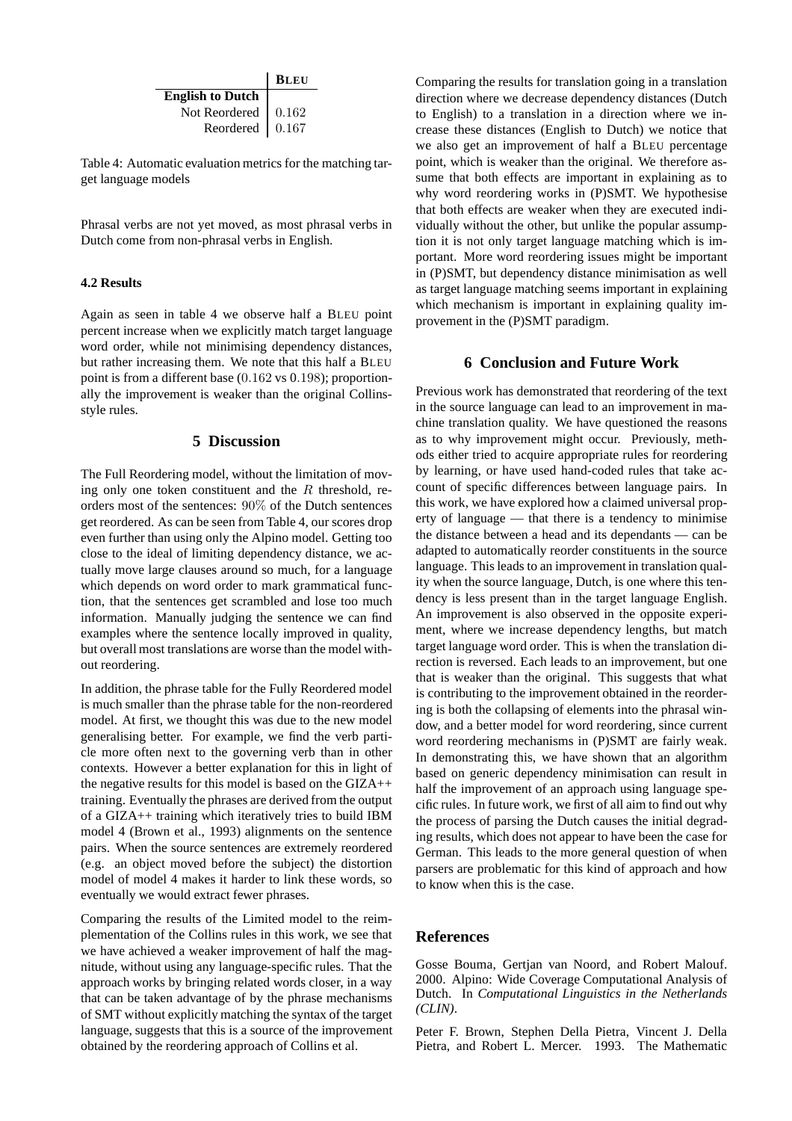|                             | <b>BLEU</b> |
|-----------------------------|-------------|
| <b>English to Dutch</b>     |             |
| Not Reordered $\vert$ 0.162 |             |
| Reordered $\vert$ 0.167     |             |

Table 4: Automatic evaluation metrics for the matching target language models

Phrasal verbs are not yet moved, as most phrasal verbs in Dutch come from non-phrasal verbs in English.

### **4.2 Results**

Again as seen in table 4 we observe half a BLEU point percent increase when we explicitly match target language word order, while not minimising dependency distances, but rather increasing them. We note that this half a BLEU point is from a different base (0.162 vs 0.198); proportionally the improvement is weaker than the original Collinsstyle rules.

### **5 Discussion**

The Full Reordering model, without the limitation of moving only one token constituent and the  $R$  threshold, reorders most of the sentences: 90% of the Dutch sentences get reordered. As can be seen from Table 4, our scores drop even further than using only the Alpino model. Getting too close to the ideal of limiting dependency distance, we actually move large clauses around so much, for a language which depends on word order to mark grammatical function, that the sentences get scrambled and lose too much information. Manually judging the sentence we can find examples where the sentence locally improved in quality, but overall most translations are worse than the model without reordering.

In addition, the phrase table for the Fully Reordered model is much smaller than the phrase table for the non-reordered model. At first, we thought this was due to the new model generalising better. For example, we find the verb particle more often next to the governing verb than in other contexts. However a better explanation for this in light of the negative results for this model is based on the GIZA++ training. Eventually the phrases are derived from the output of a GIZA++ training which iteratively tries to build IBM model 4 (Brown et al., 1993) alignments on the sentence pairs. When the source sentences are extremely reordered (e.g. an object moved before the subject) the distortion model of model 4 makes it harder to link these words, so eventually we would extract fewer phrases.

Comparing the results of the Limited model to the reimplementation of the Collins rules in this work, we see that we have achieved a weaker improvement of half the magnitude, without using any language-specific rules. That the approach works by bringing related words closer, in a way that can be taken advantage of by the phrase mechanisms of SMT without explicitly matching the syntax of the target language, suggests that this is a source of the improvement obtained by the reordering approach of Collins et al.

Comparing the results for translation going in a translation direction where we decrease dependency distances (Dutch to English) to a translation in a direction where we increase these distances (English to Dutch) we notice that we also get an improvement of half a BLEU percentage point, which is weaker than the original. We therefore assume that both effects are important in explaining as to why word reordering works in (P)SMT. We hypothesise that both effects are weaker when they are executed individually without the other, but unlike the popular assumption it is not only target language matching which is important. More word reordering issues might be important in (P)SMT, but dependency distance minimisation as well as target language matching seems important in explaining which mechanism is important in explaining quality improvement in the (P)SMT paradigm.

### **6 Conclusion and Future Work**

Previous work has demonstrated that reordering of the text in the source language can lead to an improvement in machine translation quality. We have questioned the reasons as to why improvement might occur. Previously, methods either tried to acquire appropriate rules for reordering by learning, or have used hand-coded rules that take account of specific differences between language pairs. In this work, we have explored how a claimed universal property of language — that there is a tendency to minimise the distance between a head and its dependants — can be adapted to automatically reorder constituents in the source language. This leads to an improvement in translation quality when the source language, Dutch, is one where this tendency is less present than in the target language English. An improvement is also observed in the opposite experiment, where we increase dependency lengths, but match target language word order. This is when the translation direction is reversed. Each leads to an improvement, but one that is weaker than the original. This suggests that what is contributing to the improvement obtained in the reordering is both the collapsing of elements into the phrasal window, and a better model for word reordering, since current word reordering mechanisms in (P)SMT are fairly weak. In demonstrating this, we have shown that an algorithm based on generic dependency minimisation can result in half the improvement of an approach using language specific rules. In future work, we first of all aim to find out why the process of parsing the Dutch causes the initial degrading results, which does not appear to have been the case for German. This leads to the more general question of when parsers are problematic for this kind of approach and how to know when this is the case.

### **References**

Gosse Bouma, Gertjan van Noord, and Robert Malouf. 2000. Alpino: Wide Coverage Computational Analysis of Dutch. In *Computational Linguistics in the Netherlands (CLIN)*.

Peter F. Brown, Stephen Della Pietra, Vincent J. Della Pietra, and Robert L. Mercer. 1993. The Mathematic